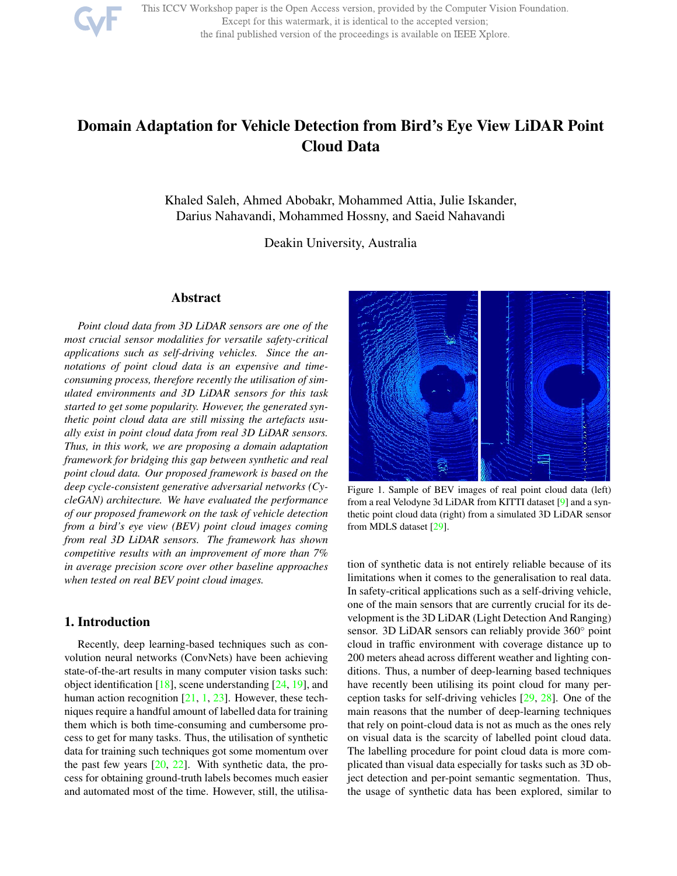

This ICCV Workshop paper is the Open Access version, provided by the Computer Vision Foundation. Except for this watermark, it is identical to the accepted version; the final published version of the proceedings is available on IEEE Xplore.

# Domain Adaptation for Vehicle Detection from Bird's Eye View LiDAR Point Cloud Data

Khaled Saleh, Ahmed Abobakr, Mohammed Attia, Julie Iskander, Darius Nahavandi, Mohammed Hossny, and Saeid Nahavandi

Deakin University, Australia

#### Abstract

*Point cloud data from 3D LiDAR sensors are one of the most crucial sensor modalities for versatile safety-critical applications such as self-driving vehicles. Since the annotations of point cloud data is an expensive and timeconsuming process, therefore recently the utilisation of simulated environments and 3D LiDAR sensors for this task started to get some popularity. However, the generated synthetic point cloud data are still missing the artefacts usually exist in point cloud data from real 3D LiDAR sensors. Thus, in this work, we are proposing a domain adaptation framework for bridging this gap between synthetic and real point cloud data. Our proposed framework is based on the deep cycle-consistent generative adversarial networks (CycleGAN) architecture. We have evaluated the performance of our proposed framework on the task of vehicle detection from a bird's eye view (BEV) point cloud images coming from real 3D LiDAR sensors. The framework has shown competitive results with an improvement of more than 7% in average precision score over other baseline approaches when tested on real BEV point cloud images.*

#### 1. Introduction

Recently, deep learning-based techniques such as convolution neural networks (ConvNets) have been achieving state-of-the-art results in many computer vision tasks such: object identification  $[18]$ , scene understanding  $[24, 19]$ , and human action recognition  $[21, 1, 23]$ . However, these techniques require a handful amount of labelled data for training them which is both time-consuming and cumbersome process to get for many tasks. Thus, the utilisation of synthetic data for training such techniques got some momentum over the past few years  $[20, 22]$ . With synthetic data, the process for obtaining ground-truth labels becomes much easier and automated most of the time. However, still, the utilisa-



Figure 1. Sample of BEV images of real point cloud data (left) from a real Velodyne 3d LiDAR from KITTI dataset [9] and a synthetic point cloud data (right) from a simulated 3D LiDAR sensor from MDLS dataset [29].

tion of synthetic data is not entirely reliable because of its limitations when it comes to the generalisation to real data. In safety-critical applications such as a self-driving vehicle, one of the main sensors that are currently crucial for its development is the 3D LiDAR (Light Detection And Ranging) sensor. 3D LiDAR sensors can reliably provide 360° point cloud in traffic environment with coverage distance up to 200 meters ahead across different weather and lighting conditions. Thus, a number of deep-learning based techniques have recently been utilising its point cloud for many perception tasks for self-driving vehicles [29, 28]. One of the main reasons that the number of deep-learning techniques that rely on point-cloud data is not as much as the ones rely on visual data is the scarcity of labelled point cloud data. The labelling procedure for point cloud data is more complicated than visual data especially for tasks such as 3D object detection and per-point semantic segmentation. Thus, the usage of synthetic data has been explored, similar to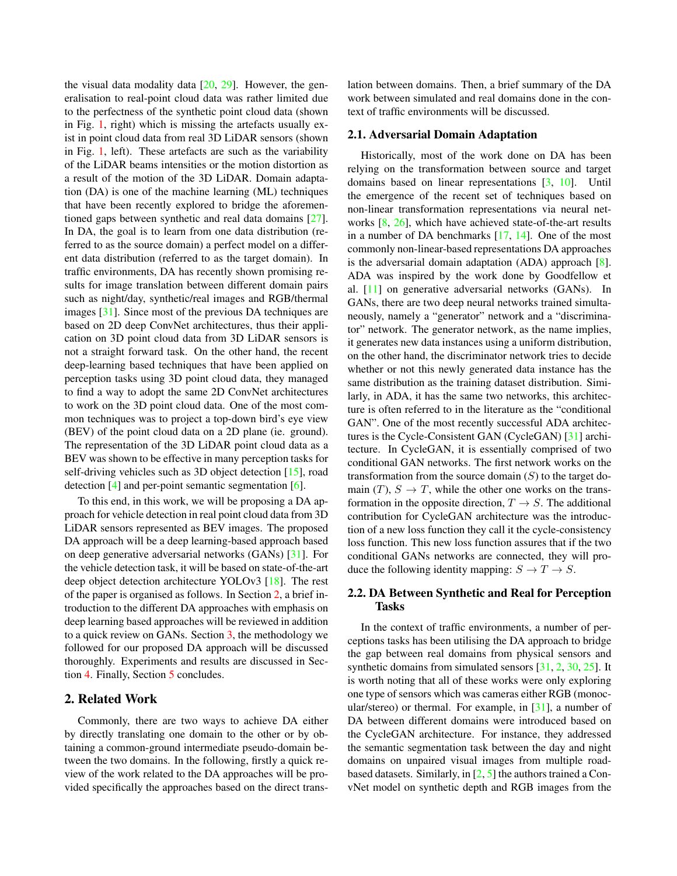the visual data modality data  $[20, 29]$ . However, the generalisation to real-point cloud data was rather limited due to the perfectness of the synthetic point cloud data (shown in Fig. 1, right) which is missing the artefacts usually exist in point cloud data from real 3D LiDAR sensors (shown in Fig. 1, left). These artefacts are such as the variability of the LiDAR beams intensities or the motion distortion as a result of the motion of the 3D LiDAR. Domain adaptation (DA) is one of the machine learning (ML) techniques that have been recently explored to bridge the aforementioned gaps between synthetic and real data domains [27]. In DA, the goal is to learn from one data distribution (referred to as the source domain) a perfect model on a different data distribution (referred to as the target domain). In traffic environments, DA has recently shown promising results for image translation between different domain pairs such as night/day, synthetic/real images and RGB/thermal images [31]. Since most of the previous DA techniques are based on 2D deep ConvNet architectures, thus their application on 3D point cloud data from 3D LiDAR sensors is not a straight forward task. On the other hand, the recent deep-learning based techniques that have been applied on perception tasks using 3D point cloud data, they managed to find a way to adopt the same 2D ConvNet architectures to work on the 3D point cloud data. One of the most common techniques was to project a top-down bird's eye view (BEV) of the point cloud data on a 2D plane (ie. ground). The representation of the 3D LiDAR point cloud data as a BEV was shown to be effective in many perception tasks for self-driving vehicles such as 3D object detection [15], road detection [4] and per-point semantic segmentation [6].

To this end, in this work, we will be proposing a DA approach for vehicle detection in real point cloud data from 3D LiDAR sensors represented as BEV images. The proposed DA approach will be a deep learning-based approach based on deep generative adversarial networks (GANs) [31]. For the vehicle detection task, it will be based on state-of-the-art deep object detection architecture YOLOv3 [18]. The rest of the paper is organised as follows. In Section 2, a brief introduction to the different DA approaches with emphasis on deep learning based approaches will be reviewed in addition to a quick review on GANs. Section 3, the methodology we followed for our proposed DA approach will be discussed thoroughly. Experiments and results are discussed in Section 4. Finally, Section 5 concludes.

## 2. Related Work

Commonly, there are two ways to achieve DA either by directly translating one domain to the other or by obtaining a common-ground intermediate pseudo-domain between the two domains. In the following, firstly a quick review of the work related to the DA approaches will be provided specifically the approaches based on the direct translation between domains. Then, a brief summary of the DA work between simulated and real domains done in the context of traffic environments will be discussed.

#### 2.1. Adversarial Domain Adaptation

Historically, most of the work done on DA has been relying on the transformation between source and target domains based on linear representations [3, 10]. Until the emergence of the recent set of techniques based on non-linear transformation representations via neural networks [8, 26], which have achieved state-of-the-art results in a number of DA benchmarks [17, 14]. One of the most commonly non-linear-based representations DA approaches is the adversarial domain adaptation (ADA) approach [8]. ADA was inspired by the work done by Goodfellow et al. [11] on generative adversarial networks (GANs). In GANs, there are two deep neural networks trained simultaneously, namely a "generator" network and a "discriminator" network. The generator network, as the name implies, it generates new data instances using a uniform distribution, on the other hand, the discriminator network tries to decide whether or not this newly generated data instance has the same distribution as the training dataset distribution. Similarly, in ADA, it has the same two networks, this architecture is often referred to in the literature as the "conditional GAN". One of the most recently successful ADA architectures is the Cycle-Consistent GAN (CycleGAN) [31] architecture. In CycleGAN, it is essentially comprised of two conditional GAN networks. The first network works on the transformation from the source domain  $(S)$  to the target domain  $(T)$ ,  $S \to T$ , while the other one works on the transformation in the opposite direction,  $T \rightarrow S$ . The additional contribution for CycleGAN architecture was the introduction of a new loss function they call it the cycle-consistency loss function. This new loss function assures that if the two conditional GANs networks are connected, they will produce the following identity mapping:  $S \to T \to S$ .

## 2.2. DA Between Synthetic and Real for Perception Tasks

In the context of traffic environments, a number of perceptions tasks has been utilising the DA approach to bridge the gap between real domains from physical sensors and synthetic domains from simulated sensors [31, 2, 30, 25]. It is worth noting that all of these works were only exploring one type of sensors which was cameras either RGB (monocular/stereo) or thermal. For example, in  $[31]$ , a number of DA between different domains were introduced based on the CycleGAN architecture. For instance, they addressed the semantic segmentation task between the day and night domains on unpaired visual images from multiple roadbased datasets. Similarly, in  $[2, 5]$  the authors trained a ConvNet model on synthetic depth and RGB images from the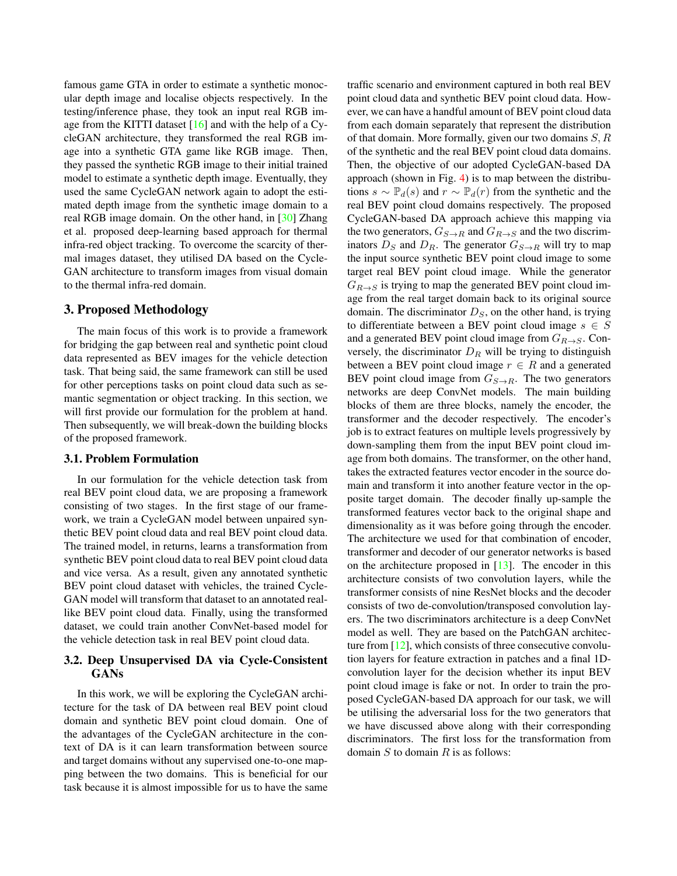famous game GTA in order to estimate a synthetic monocular depth image and localise objects respectively. In the testing/inference phase, they took an input real RGB image from the KITTI dataset  $[16]$  and with the help of a CycleGAN architecture, they transformed the real RGB image into a synthetic GTA game like RGB image. Then, they passed the synthetic RGB image to their initial trained model to estimate a synthetic depth image. Eventually, they used the same CycleGAN network again to adopt the estimated depth image from the synthetic image domain to a real RGB image domain. On the other hand, in [30] Zhang et al. proposed deep-learning based approach for thermal infra-red object tracking. To overcome the scarcity of thermal images dataset, they utilised DA based on the Cycle-GAN architecture to transform images from visual domain to the thermal infra-red domain.

## 3. Proposed Methodology

The main focus of this work is to provide a framework for bridging the gap between real and synthetic point cloud data represented as BEV images for the vehicle detection task. That being said, the same framework can still be used for other perceptions tasks on point cloud data such as semantic segmentation or object tracking. In this section, we will first provide our formulation for the problem at hand. Then subsequently, we will break-down the building blocks of the proposed framework.

#### 3.1. Problem Formulation

In our formulation for the vehicle detection task from real BEV point cloud data, we are proposing a framework consisting of two stages. In the first stage of our framework, we train a CycleGAN model between unpaired synthetic BEV point cloud data and real BEV point cloud data. The trained model, in returns, learns a transformation from synthetic BEV point cloud data to real BEV point cloud data and vice versa. As a result, given any annotated synthetic BEV point cloud dataset with vehicles, the trained Cycle-GAN model will transform that dataset to an annotated reallike BEV point cloud data. Finally, using the transformed dataset, we could train another ConvNet-based model for the vehicle detection task in real BEV point cloud data.

#### 3.2. Deep Unsupervised DA via Cycle-Consistent GANs

In this work, we will be exploring the CycleGAN architecture for the task of DA between real BEV point cloud domain and synthetic BEV point cloud domain. One of the advantages of the CycleGAN architecture in the context of DA is it can learn transformation between source and target domains without any supervised one-to-one mapping between the two domains. This is beneficial for our task because it is almost impossible for us to have the same

traffic scenario and environment captured in both real BEV point cloud data and synthetic BEV point cloud data. However, we can have a handful amount of BEV point cloud data from each domain separately that represent the distribution of that domain. More formally, given our two domains  $S, R$ of the synthetic and the real BEV point cloud data domains. Then, the objective of our adopted CycleGAN-based DA approach (shown in Fig. 4) is to map between the distributions  $s \sim \mathbb{P}_d(s)$  and  $r \sim \mathbb{P}_d(r)$  from the synthetic and the real BEV point cloud domains respectively. The proposed CycleGAN-based DA approach achieve this mapping via the two generators,  $G_{S\rightarrow R}$  and  $G_{R\rightarrow S}$  and the two discriminators  $D_S$  and  $D_R$ . The generator  $G_{S\rightarrow R}$  will try to map the input source synthetic BEV point cloud image to some target real BEV point cloud image. While the generator  $G_{R\rightarrow S}$  is trying to map the generated BEV point cloud image from the real target domain back to its original source domain. The discriminator  $D<sub>S</sub>$ , on the other hand, is trying to differentiate between a BEV point cloud image  $s \in S$ and a generated BEV point cloud image from  $G_{R\rightarrow S}$ . Conversely, the discriminator  $D_R$  will be trying to distinguish between a BEV point cloud image  $r \in R$  and a generated BEV point cloud image from  $G_{S\rightarrow R}$ . The two generators networks are deep ConvNet models. The main building blocks of them are three blocks, namely the encoder, the transformer and the decoder respectively. The encoder's job is to extract features on multiple levels progressively by down-sampling them from the input BEV point cloud image from both domains. The transformer, on the other hand, takes the extracted features vector encoder in the source domain and transform it into another feature vector in the opposite target domain. The decoder finally up-sample the transformed features vector back to the original shape and dimensionality as it was before going through the encoder. The architecture we used for that combination of encoder, transformer and decoder of our generator networks is based on the architecture proposed in  $[13]$ . The encoder in this architecture consists of two convolution layers, while the transformer consists of nine ResNet blocks and the decoder consists of two de-convolution/transposed convolution layers. The two discriminators architecture is a deep ConvNet model as well. They are based on the PatchGAN architecture from  $[12]$ , which consists of three consecutive convolution layers for feature extraction in patches and a final 1Dconvolution layer for the decision whether its input BEV point cloud image is fake or not. In order to train the proposed CycleGAN-based DA approach for our task, we will be utilising the adversarial loss for the two generators that we have discussed above along with their corresponding discriminators. The first loss for the transformation from domain  $S$  to domain  $R$  is as follows: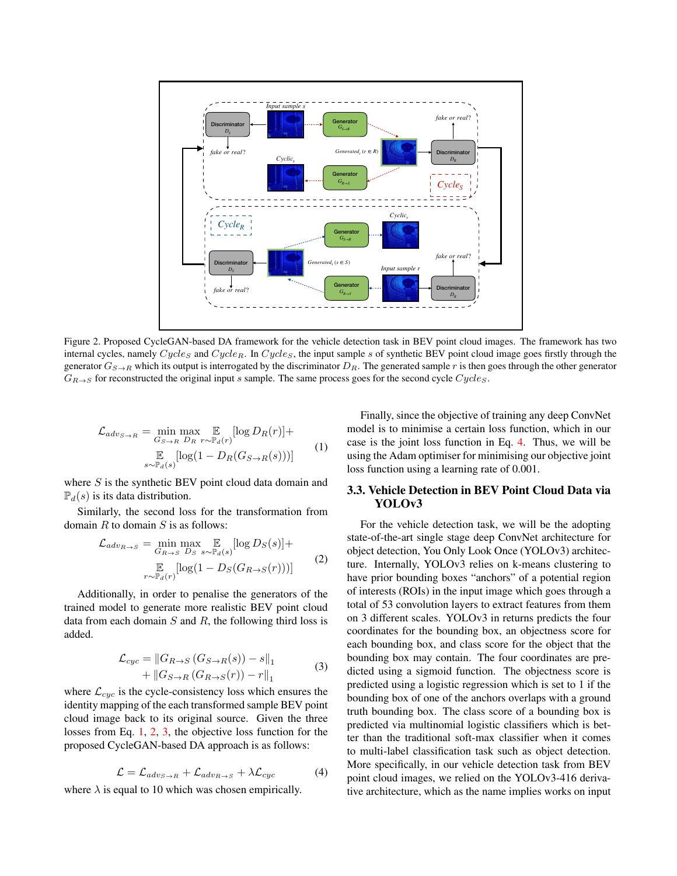

Figure 2. Proposed CycleGAN-based DA framework for the vehicle detection task in BEV point cloud images. The framework has two internal cycles, namely  $Cycles$  and  $Cycle_R$ . In  $Cycles$ , the input sample s of synthetic BEV point cloud image goes firstly through the generator  $G_{S\to R}$  which its output is interrogated by the discriminator  $D_R$ . The generated sample r is then goes through the other generator  $G_{R\rightarrow S}$  for reconstructed the original input s sample. The same process goes for the second cycle  $Cycles$ .

$$
\mathcal{L}_{adv_{S \to R}} = \min_{G_{S \to R}} \max_{D_R} \mathbb{E}_{r \sim \mathbb{P}_d(r)} [\log D_R(r)] +
$$
  

$$
\mathbb{E}_{s \sim \mathbb{P}_d(s)} [\log (1 - D_R(G_{S \to R}(s)))] \tag{1}
$$

where  $S$  is the synthetic BEV point cloud data domain and  $\mathbb{P}_d(s)$  is its data distribution.

Similarly, the second loss for the transformation from domain  $R$  to domain  $S$  is as follows:

$$
\mathcal{L}_{adv_{R \to S}} = \min_{G_{R \to S}} \max_{D_S} \mathbb{E}_{s \sim \mathbb{P}_d(s)} [\log D_S(s)] +
$$
  

$$
\mathbb{E}_{r \sim \mathbb{P}_d(r)} [\log(1 - D_S(G_{R \to S}(r)))]
$$
(2)

Additionally, in order to penalise the generators of the trained model to generate more realistic BEV point cloud data from each domain  $S$  and  $R$ , the following third loss is added.

$$
\mathcal{L}_{cyc} = ||G_{R \to S} (G_{S \to R}(s)) - s||_1
$$
  
 
$$
+ ||G_{S \to R} (G_{R \to S}(r)) - r||_1
$$
 (3)

where  $\mathcal{L}_{cyc}$  is the cycle-consistency loss which ensures the identity mapping of the each transformed sample BEV point cloud image back to its original source. Given the three losses from Eq. 1, 2, 3, the objective loss function for the proposed CycleGAN-based DA approach is as follows:

$$
\mathcal{L} = \mathcal{L}_{adv_{S \to R}} + \mathcal{L}_{adv_{R \to S}} + \lambda \mathcal{L}_{cyc}
$$
 (4)

where  $\lambda$  is equal to 10 which was chosen empirically.

Finally, since the objective of training any deep ConvNet model is to minimise a certain loss function, which in our case is the joint loss function in Eq. 4. Thus, we will be using the Adam optimiser for minimising our objective joint loss function using a learning rate of 0.001.

#### 3.3. Vehicle Detection in BEV Point Cloud Data via YOLOv3

For the vehicle detection task, we will be the adopting state-of-the-art single stage deep ConvNet architecture for object detection, You Only Look Once (YOLOv3) architecture. Internally, YOLOv3 relies on k-means clustering to have prior bounding boxes "anchors" of a potential region of interests (ROIs) in the input image which goes through a total of 53 convolution layers to extract features from them on 3 different scales. YOLOv3 in returns predicts the four coordinates for the bounding box, an objectness score for each bounding box, and class score for the object that the bounding box may contain. The four coordinates are predicted using a sigmoid function. The objectness score is predicted using a logistic regression which is set to 1 if the bounding box of one of the anchors overlaps with a ground truth bounding box. The class score of a bounding box is predicted via multinomial logistic classifiers which is better than the traditional soft-max classifier when it comes to multi-label classification task such as object detection. More specifically, in our vehicle detection task from BEV point cloud images, we relied on the YOLOv3-416 derivative architecture, which as the name implies works on input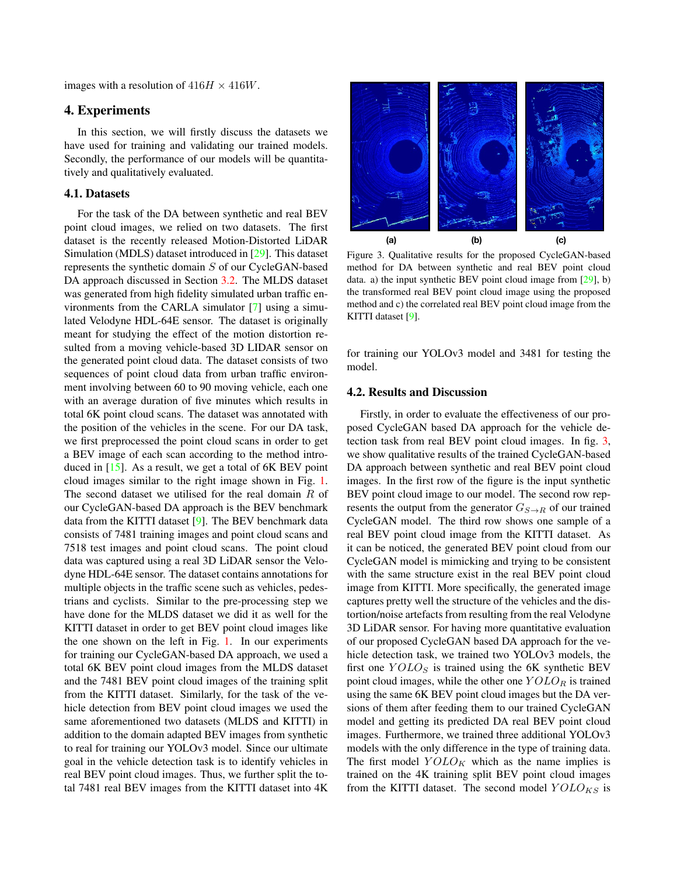images with a resolution of  $416H \times 416W$ .

## 4. Experiments

In this section, we will firstly discuss the datasets we have used for training and validating our trained models. Secondly, the performance of our models will be quantitatively and qualitatively evaluated.

## 4.1. Datasets

For the task of the DA between synthetic and real BEV point cloud images, we relied on two datasets. The first dataset is the recently released Motion-Distorted LiDAR Simulation (MDLS) dataset introduced in [29]. This dataset represents the synthetic domain S of our CycleGAN-based DA approach discussed in Section 3.2. The MLDS dataset was generated from high fidelity simulated urban traffic environments from the CARLA simulator [7] using a simulated Velodyne HDL-64E sensor. The dataset is originally meant for studying the effect of the motion distortion resulted from a moving vehicle-based 3D LIDAR sensor on the generated point cloud data. The dataset consists of two sequences of point cloud data from urban traffic environment involving between 60 to 90 moving vehicle, each one with an average duration of five minutes which results in total 6K point cloud scans. The dataset was annotated with the position of the vehicles in the scene. For our DA task, we first preprocessed the point cloud scans in order to get a BEV image of each scan according to the method introduced in [15]. As a result, we get a total of 6K BEV point cloud images similar to the right image shown in Fig. 1. The second dataset we utilised for the real domain  $R$  of our CycleGAN-based DA approach is the BEV benchmark data from the KITTI dataset [9]. The BEV benchmark data consists of 7481 training images and point cloud scans and 7518 test images and point cloud scans. The point cloud data was captured using a real 3D LiDAR sensor the Velodyne HDL-64E sensor. The dataset contains annotations for multiple objects in the traffic scene such as vehicles, pedestrians and cyclists. Similar to the pre-processing step we have done for the MLDS dataset we did it as well for the KITTI dataset in order to get BEV point cloud images like the one shown on the left in Fig. 1. In our experiments for training our CycleGAN-based DA approach, we used a total 6K BEV point cloud images from the MLDS dataset and the 7481 BEV point cloud images of the training split from the KITTI dataset. Similarly, for the task of the vehicle detection from BEV point cloud images we used the same aforementioned two datasets (MLDS and KITTI) in addition to the domain adapted BEV images from synthetic to real for training our YOLOv3 model. Since our ultimate goal in the vehicle detection task is to identify vehicles in real BEV point cloud images. Thus, we further split the total 7481 real BEV images from the KITTI dataset into 4K



Figure 3. Qualitative results for the proposed CycleGAN-based method for DA between synthetic and real BEV point cloud data. a) the input synthetic BEV point cloud image from [29], b) the transformed real BEV point cloud image using the proposed method and c) the correlated real BEV point cloud image from the KITTI dataset [9].

for training our YOLOv3 model and 3481 for testing the model.

## 4.2. Results and Discussion

Firstly, in order to evaluate the effectiveness of our proposed CycleGAN based DA approach for the vehicle detection task from real BEV point cloud images. In fig. 3, we show qualitative results of the trained CycleGAN-based DA approach between synthetic and real BEV point cloud images. In the first row of the figure is the input synthetic BEV point cloud image to our model. The second row represents the output from the generator  $G_{S\rightarrow R}$  of our trained CycleGAN model. The third row shows one sample of a real BEV point cloud image from the KITTI dataset. As it can be noticed, the generated BEV point cloud from our CycleGAN model is mimicking and trying to be consistent with the same structure exist in the real BEV point cloud image from KITTI. More specifically, the generated image captures pretty well the structure of the vehicles and the distortion/noise artefacts from resulting from the real Velodyne 3D LiDAR sensor. For having more quantitative evaluation of our proposed CycleGAN based DA approach for the vehicle detection task, we trained two YOLOv3 models, the first one  $Y OLO<sub>S</sub>$  is trained using the 6K synthetic BEV point cloud images, while the other one  $Y OLO_R$  is trained using the same 6K BEV point cloud images but the DA versions of them after feeding them to our trained CycleGAN model and getting its predicted DA real BEV point cloud images. Furthermore, we trained three additional YOLOv3 models with the only difference in the type of training data. The first model  $Y OLO_K$  which as the name implies is trained on the 4K training split BEV point cloud images from the KITTI dataset. The second model  $Y OLO_{KS}$  is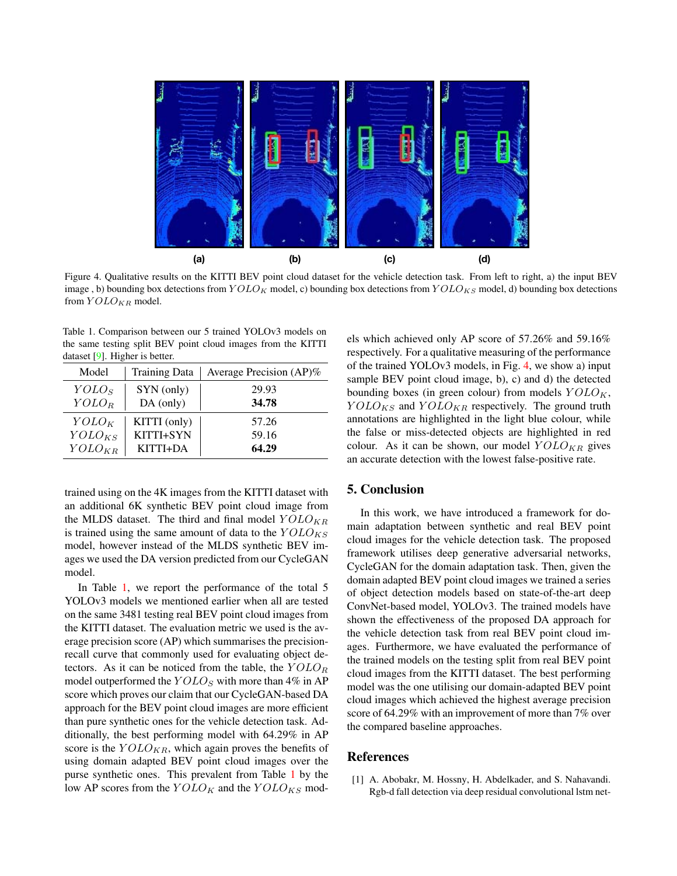

Figure 4. Qualitative results on the KITTI BEV point cloud dataset for the vehicle detection task. From left to right, a) the input BEV image, b) bounding box detections from  $Y OLO_K$  model, c) bounding box detections from  $Y OLO_{KS}$  model, d) bounding box detections from  $YOLO_{KR}$  model.

Table 1. Comparison between our 5 trained YOLOv3 models on the same testing split BEV point cloud images from the KITTI dataset [9]. Higher is better.

| Model             | <b>Training Data</b> | Average Precision (AP)% |
|-------------------|----------------------|-------------------------|
| YOLO <sub>S</sub> | SYN (only)           | 29.93                   |
| $YOLO_R$          | $DA$ (only)          | 34.78                   |
| $YOLO_K$          | KITTI (only)         | 57.26                   |
| $YOLO_{KS}$       | KITTI+SYN            | 59.16                   |
| $YOLO_{KR}$       | KITTI+DA             | 64.29                   |

trained using on the 4K images from the KITTI dataset with an additional 6K synthetic BEV point cloud image from the MLDS dataset. The third and final model  $YOLO_{KR}$ is trained using the same amount of data to the  $Y OLO_{KS}$ model, however instead of the MLDS synthetic BEV images we used the DA version predicted from our CycleGAN model.

In Table 1, we report the performance of the total 5 YOLOv3 models we mentioned earlier when all are tested on the same 3481 testing real BEV point cloud images from the KITTI dataset. The evaluation metric we used is the average precision score (AP) which summarises the precisionrecall curve that commonly used for evaluating object detectors. As it can be noticed from the table, the  $Y OLO_R$ model outperformed the  $Y OLO<sub>S</sub>$  with more than 4% in AP score which proves our claim that our CycleGAN-based DA approach for the BEV point cloud images are more efficient than pure synthetic ones for the vehicle detection task. Additionally, the best performing model with 64.29% in AP score is the  $Y OLO_{KR}$ , which again proves the benefits of using domain adapted BEV point cloud images over the purse synthetic ones. This prevalent from Table 1 by the low AP scores from the  $Y OLO_K$  and the  $Y OLO_{KS}$  models which achieved only AP score of 57.26% and 59.16% respectively. For a qualitative measuring of the performance of the trained YOLOv3 models, in Fig. 4, we show a) input sample BEV point cloud image, b), c) and d) the detected bounding boxes (in green colour) from models  $YOLO<sub>K</sub>$ ,  $Y OLO_{KS}$  and  $Y OLO_{KR}$  respectively. The ground truth annotations are highlighted in the light blue colour, while the false or miss-detected objects are highlighted in red colour. As it can be shown, our model  $YOLO_{KR}$  gives an accurate detection with the lowest false-positive rate.

#### 5. Conclusion

In this work, we have introduced a framework for domain adaptation between synthetic and real BEV point cloud images for the vehicle detection task. The proposed framework utilises deep generative adversarial networks, CycleGAN for the domain adaptation task. Then, given the domain adapted BEV point cloud images we trained a series of object detection models based on state-of-the-art deep ConvNet-based model, YOLOv3. The trained models have shown the effectiveness of the proposed DA approach for the vehicle detection task from real BEV point cloud images. Furthermore, we have evaluated the performance of the trained models on the testing split from real BEV point cloud images from the KITTI dataset. The best performing model was the one utilising our domain-adapted BEV point cloud images which achieved the highest average precision score of 64.29% with an improvement of more than 7% over the compared baseline approaches.

## References

[1] A. Abobakr, M. Hossny, H. Abdelkader, and S. Nahavandi. Rgb-d fall detection via deep residual convolutional lstm net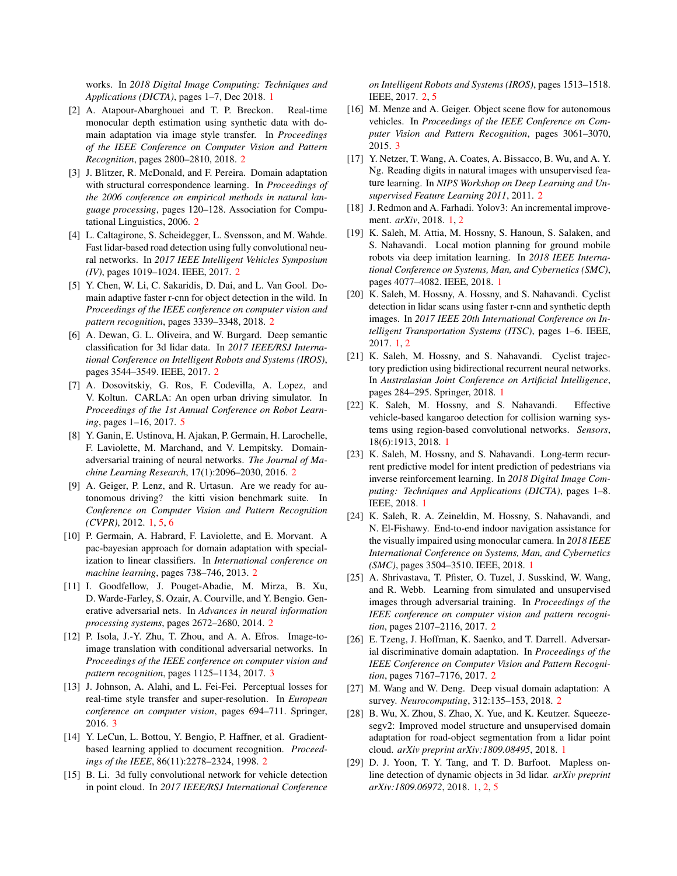works. In *2018 Digital Image Computing: Techniques and Applications (DICTA)*, pages 1–7, Dec 2018. 1

- [2] A. Atapour-Abarghouei and T. P. Breckon. Real-time monocular depth estimation using synthetic data with domain adaptation via image style transfer. In *Proceedings of the IEEE Conference on Computer Vision and Pattern Recognition*, pages 2800–2810, 2018. 2
- [3] J. Blitzer, R. McDonald, and F. Pereira. Domain adaptation with structural correspondence learning. In *Proceedings of the 2006 conference on empirical methods in natural language processing*, pages 120–128. Association for Computational Linguistics, 2006. 2
- [4] L. Caltagirone, S. Scheidegger, L. Svensson, and M. Wahde. Fast lidar-based road detection using fully convolutional neural networks. In *2017 IEEE Intelligent Vehicles Symposium (IV)*, pages 1019–1024. IEEE, 2017. 2
- [5] Y. Chen, W. Li, C. Sakaridis, D. Dai, and L. Van Gool. Domain adaptive faster r-cnn for object detection in the wild. In *Proceedings of the IEEE conference on computer vision and pattern recognition*, pages 3339–3348, 2018. 2
- [6] A. Dewan, G. L. Oliveira, and W. Burgard. Deep semantic classification for 3d lidar data. In *2017 IEEE/RSJ International Conference on Intelligent Robots and Systems (IROS)*, pages 3544–3549. IEEE, 2017. 2
- [7] A. Dosovitskiy, G. Ros, F. Codevilla, A. Lopez, and V. Koltun. CARLA: An open urban driving simulator. In *Proceedings of the 1st Annual Conference on Robot Learning*, pages 1–16, 2017. 5
- [8] Y. Ganin, E. Ustinova, H. Ajakan, P. Germain, H. Larochelle, F. Laviolette, M. Marchand, and V. Lempitsky. Domainadversarial training of neural networks. *The Journal of Machine Learning Research*, 17(1):2096–2030, 2016. 2
- [9] A. Geiger, P. Lenz, and R. Urtasun. Are we ready for autonomous driving? the kitti vision benchmark suite. In *Conference on Computer Vision and Pattern Recognition (CVPR)*, 2012. 1, 5, 6
- [10] P. Germain, A. Habrard, F. Laviolette, and E. Morvant. A pac-bayesian approach for domain adaptation with specialization to linear classifiers. In *International conference on machine learning*, pages 738–746, 2013. 2
- [11] I. Goodfellow, J. Pouget-Abadie, M. Mirza, B. Xu, D. Warde-Farley, S. Ozair, A. Courville, and Y. Bengio. Generative adversarial nets. In *Advances in neural information processing systems*, pages 2672–2680, 2014. 2
- [12] P. Isola, J.-Y. Zhu, T. Zhou, and A. A. Efros. Image-toimage translation with conditional adversarial networks. In *Proceedings of the IEEE conference on computer vision and pattern recognition*, pages 1125–1134, 2017. 3
- [13] J. Johnson, A. Alahi, and L. Fei-Fei. Perceptual losses for real-time style transfer and super-resolution. In *European conference on computer vision*, pages 694–711. Springer, 2016. 3
- [14] Y. LeCun, L. Bottou, Y. Bengio, P. Haffner, et al. Gradientbased learning applied to document recognition. *Proceedings of the IEEE*, 86(11):2278–2324, 1998. 2
- [15] B. Li. 3d fully convolutional network for vehicle detection in point cloud. In *2017 IEEE/RSJ International Conference*

*on Intelligent Robots and Systems (IROS)*, pages 1513–1518. IEEE, 2017. 2, 5

- [16] M. Menze and A. Geiger. Object scene flow for autonomous vehicles. In *Proceedings of the IEEE Conference on Computer Vision and Pattern Recognition*, pages 3061–3070, 2015. 3
- [17] Y. Netzer, T. Wang, A. Coates, A. Bissacco, B. Wu, and A. Y. Ng. Reading digits in natural images with unsupervised feature learning. In *NIPS Workshop on Deep Learning and Unsupervised Feature Learning 2011*, 2011. 2
- [18] J. Redmon and A. Farhadi. Yolov3: An incremental improvement. *arXiv*, 2018. 1, 2
- [19] K. Saleh, M. Attia, M. Hossny, S. Hanoun, S. Salaken, and S. Nahavandi. Local motion planning for ground mobile robots via deep imitation learning. In *2018 IEEE International Conference on Systems, Man, and Cybernetics (SMC)*, pages 4077–4082. IEEE, 2018. 1
- [20] K. Saleh, M. Hossny, A. Hossny, and S. Nahavandi. Cyclist detection in lidar scans using faster r-cnn and synthetic depth images. In *2017 IEEE 20th International Conference on Intelligent Transportation Systems (ITSC)*, pages 1–6. IEEE, 2017. 1, 2
- [21] K. Saleh, M. Hossny, and S. Nahavandi. Cyclist trajectory prediction using bidirectional recurrent neural networks. In *Australasian Joint Conference on Artificial Intelligence*, pages 284–295. Springer, 2018. 1
- [22] K. Saleh, M. Hossny, and S. Nahavandi. Effective vehicle-based kangaroo detection for collision warning systems using region-based convolutional networks. *Sensors*, 18(6):1913, 2018. 1
- [23] K. Saleh, M. Hossny, and S. Nahavandi. Long-term recurrent predictive model for intent prediction of pedestrians via inverse reinforcement learning. In *2018 Digital Image Computing: Techniques and Applications (DICTA)*, pages 1–8. IEEE, 2018. 1
- [24] K. Saleh, R. A. Zeineldin, M. Hossny, S. Nahavandi, and N. El-Fishawy. End-to-end indoor navigation assistance for the visually impaired using monocular camera. In *2018 IEEE International Conference on Systems, Man, and Cybernetics (SMC)*, pages 3504–3510. IEEE, 2018. 1
- [25] A. Shrivastava, T. Pfister, O. Tuzel, J. Susskind, W. Wang, and R. Webb. Learning from simulated and unsupervised images through adversarial training. In *Proceedings of the IEEE conference on computer vision and pattern recognition*, pages 2107–2116, 2017. 2
- [26] E. Tzeng, J. Hoffman, K. Saenko, and T. Darrell. Adversarial discriminative domain adaptation. In *Proceedings of the IEEE Conference on Computer Vision and Pattern Recognition*, pages 7167–7176, 2017. 2
- [27] M. Wang and W. Deng. Deep visual domain adaptation: A survey. *Neurocomputing*, 312:135–153, 2018. 2
- [28] B. Wu, X. Zhou, S. Zhao, X. Yue, and K. Keutzer. Squeezesegv2: Improved model structure and unsupervised domain adaptation for road-object segmentation from a lidar point cloud. *arXiv preprint arXiv:1809.08495*, 2018. 1
- [29] D. J. Yoon, T. Y. Tang, and T. D. Barfoot. Mapless online detection of dynamic objects in 3d lidar. *arXiv preprint arXiv:1809.06972*, 2018. 1, 2, 5